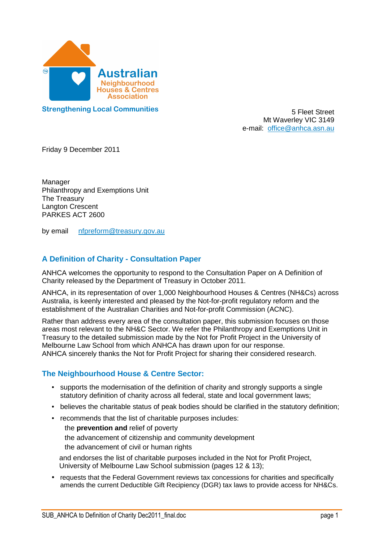

**Strengthening Local Communities 5 Fleet Street** 

5 Fleet Street Mt Waverley VIC 3149 e-mail: office@anhca.asn.au

Friday 9 December 2011

 Philanthropy and Exemptions Unit The Treasury Langton Crescent PARKES ACT 2600 Manager

by email nfpreform@treasury.gov.au

## **A Definition of Charity - Consultation Paper**

 ANHCA welcomes the opportunity to respond to the Consultation Paper on A Definition of Charity released by the Department of Treasury in October 2011.

 ANHCA, in its representation of over 1,000 Neighbourhood Houses & Centres (NH&Cs) across Australia, is keenly interested and pleased by the Not-for-profit regulatory reform and the establishment of the Australian Charities and Not-for-profit Commission (ACNC).

 Rather than address every area of the consultation paper, this submission focuses on those areas most relevant to the NH&C Sector. We refer the Philanthropy and Exemptions Unit in Treasury to the detailed submission made by the Not for Profit Project in the University of Melbourne Law School from which ANHCA has drawn upon for our response. ANHCA sincerely thanks the Not for Profit Project for sharing their considered research.

## **The Neighbourhood House & Centre Sector:**

- supports the modernisation of the definition of charity and strongly supports a single statutory definition of charity across all federal, state and local government laws;
- believes the charitable status of peak bodies should be clarified in the statutory definition;
- • recommends that the list of charitable purposes includes:

 the **prevention and** relief of poverty the advancement of citizenship and community development the advancement of civil or human rights

 and endorses the list of charitable purposes included in the Not for Profit Project, University of Melbourne Law School submission (pages 12 & 13);

• requests that the Federal Government reviews tax concessions for charities and specifically amends the current Deductible Gift Recipiency (DGR) tax laws to provide access for NH&Cs.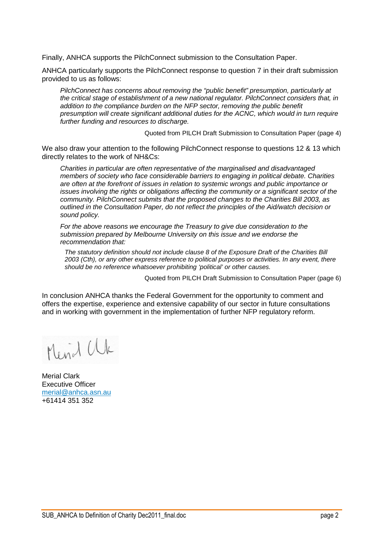Finally, ANHCA supports the PilchConnect submission to the Consultation Paper.

 ANHCA particularly supports the PilchConnect response to question 7 in their draft submission provided to us as follows:

 PilchConnect has concerns about removing the "public benefit" presumption, particularly at the critical stage of establishment of a new national regulator. PilchConnect considers that, in addition to the compliance burden on the NFP sector, removing the public benefit presumption will create significant additional duties for the ACNC, which would in turn require further funding and resources to discharge.

Quoted from PILCH Draft Submission to Consultation Paper (page 4)

 We also draw your attention to the following PilchConnect response to questions 12 & 13 which directly relates to the work of NH&Cs:

 Charities in particular are often representative of the marginalised and disadvantaged members of society who face considerable barriers to engaging in political debate. Charities are often at the forefront of issues in relation to systemic wrongs and public importance or issues involving the rights or obligations affecting the community or a significant sector of the community. PilchConnect submits that the proposed changes to the Charities Bill 2003, as outlined in the Consultation Paper, do not reflect the principles of the Aid/watch decision or sound policy.

 For the above reasons we encourage the Treasury to give due consideration to the submission prepared by Melbourne University on this issue and we endorse the recommendation that:

 The statutory definition should not include clause 8 of the Exposure Draft of the Charities Bill 2003 (Cth), or any other express reference to political purposes or activities. In any event, there should be no reference whatsoever prohibiting 'political' or other causes.

Quoted from PILCH Draft Submission to Consultation Paper (page 6)

 In conclusion ANHCA thanks the Federal Government for the opportunity to comment and offers the expertise, experience and extensive capability of our sector in future consultations and in working with government in the implementation of further NFP regulatory reform.

Mend Ul

 Merial Clark Executive Officer +61414 351 352 merial@anhca.asn.au